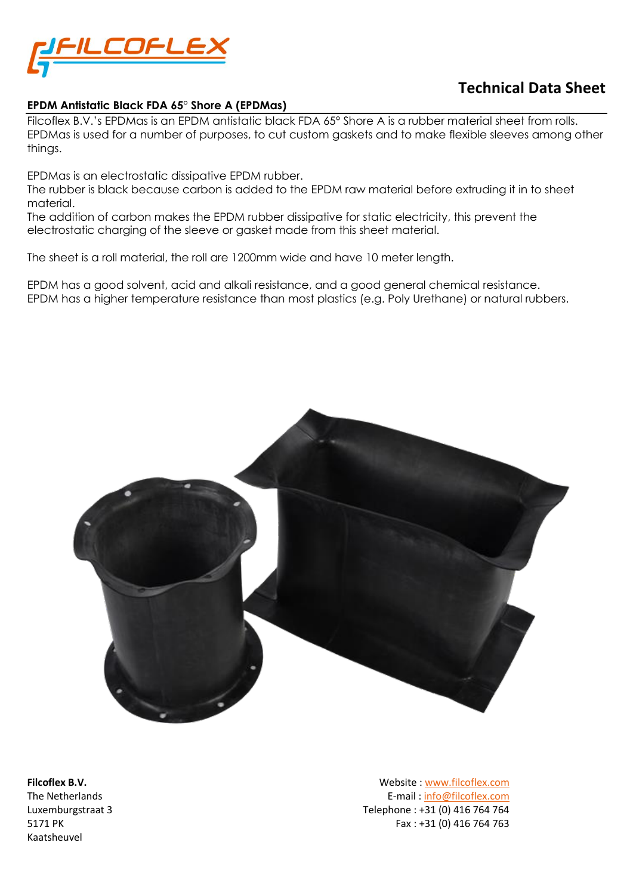

# **Technical Data Sheet**

#### **EPDM Antistatic Black FDA 65° Shore A (EPDMas)**

Filcoflex B.V.'s EPDMas is an EPDM antistatic black FDA 65° Shore A is a rubber material sheet from rolls. EPDMas is used for a number of purposes, to cut custom gaskets and to make flexible sleeves among other things.

EPDMas is an electrostatic dissipative EPDM rubber.

The rubber is black because carbon is added to the EPDM raw material before extruding it in to sheet material.

The addition of carbon makes the EPDM rubber dissipative for static electricity, this prevent the electrostatic charging of the sleeve or gasket made from this sheet material.

The sheet is a roll material, the roll are 1200mm wide and have 10 meter length.

EPDM has a good solvent, acid and alkali resistance, and a good general chemical resistance. EPDM has a higher temperature resistance than most plastics (e.g. Poly Urethane) or natural rubbers.



Kaatsheuvel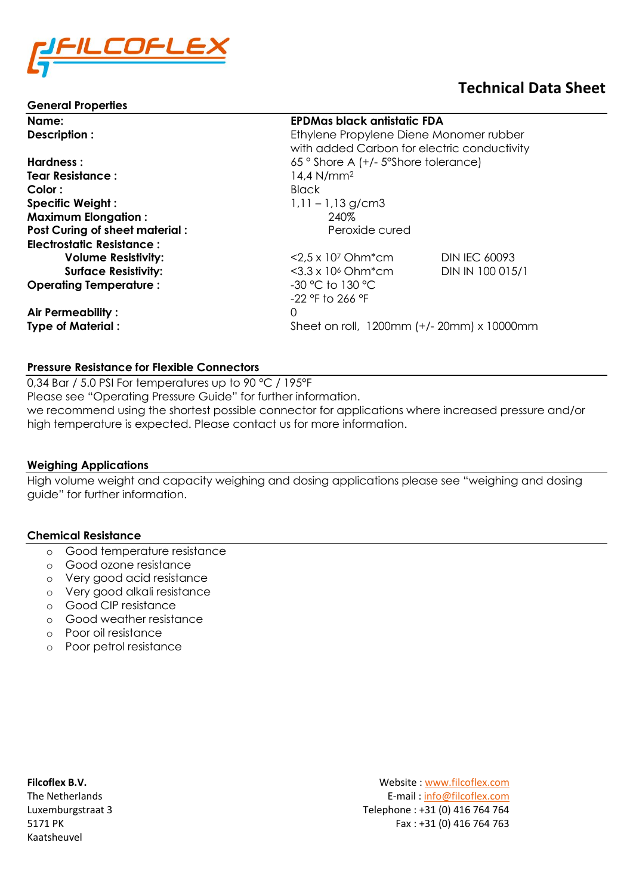

#### **General Properties**

# **Technical Data Sheet**

| Name:                                 | <b>EPDMas black antistatic FDA</b>          |                      |
|---------------------------------------|---------------------------------------------|----------------------|
| Description:                          | Ethylene Propylene Diene Monomer rubber     |                      |
|                                       | with added Carbon for electric conductivity |                      |
| Hardness:                             | 65° Shore A (+/- 5° Shore tolerance)        |                      |
| <b>Tear Resistance:</b>               | 14,4 $N/mm2$                                |                      |
| Color:                                | <b>Black</b>                                |                      |
| <b>Specific Weight:</b>               | $1,11 - 1,13$ g/cm3                         |                      |
| <b>Maximum Elongation:</b>            | 240%                                        |                      |
| <b>Post Curing of sheet material:</b> | Peroxide cured                              |                      |
| <b>Electrostatic Resistance:</b>      |                                             |                      |
| <b>Volume Resistivity:</b>            | $<$ 2,5 x 10 <sup>7</sup> Ohm $*$ cm        | <b>DIN IEC 60093</b> |
| <b>Surface Resistivity:</b>           | $<$ 3.3 x 10 <sup>6</sup> Ohm $*$ cm        | DIN IN 100 015/1     |
| <b>Operating Temperature:</b>         | $-30$ °C to 130 °C                          |                      |
|                                       | $-22$ °F to 266 °F                          |                      |
| Air Permeability:                     | 0                                           |                      |
| <b>Type of Material:</b>              | Sheet on roll, 1200mm (+/- 20mm) x 10000mm  |                      |
|                                       |                                             |                      |

#### **Pressure Resistance for Flexible Connectors**

0,34 Bar / 5.0 PSI For temperatures up to 90 °C / 195°F Please see "Operating Pressure Guide" for further information. we recommend using the shortest possible connector for applications where increased pressure and/or high temperature is expected. Please contact us for more information.

#### **Weighing Applications**

High volume weight and capacity weighing and dosing applications please see "weighing and dosing guide" for further information.

#### **Chemical Resistance**

- o Good temperature resistance
- o Good ozone resistance
- o Very good acid resistance
- o Very good alkali resistance
- o Good CIP resistance
- o Good weather resistance
- o Poor oil resistance
- o Poor petrol resistance

Kaatsheuvel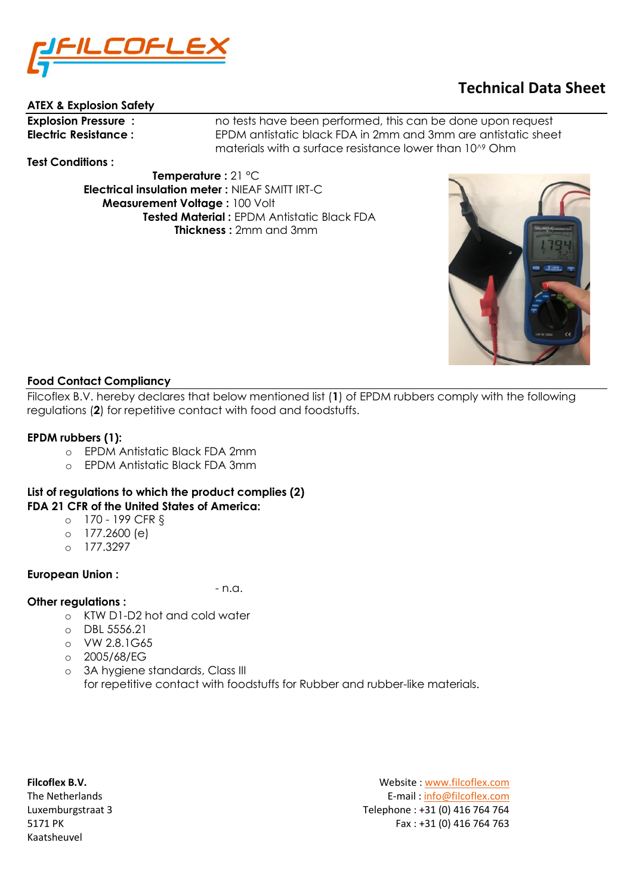

# **ATEX & Explosion Safety**

**Explosion Pressure :** no tests have been performed, this can be done upon request **Electric Resistance :** EPDM antistatic black FDA in 2mm and 3mm are antistatic sheet materials with a surface resistance lower than 10^9 Ohm

**Test Conditions :**

 **Temperature :** 21 °C  **Electrical insulation meter :** NIEAF SMITT IRT-C  **Measurement Voltage :** 100 Volt  **Tested Material :** EPDM Antistatic Black FDA  **Thickness :** 2mm and 3mm



**Technical Data Sheet**

# **Food Contact Compliancy**

Filcoflex B.V. hereby declares that below mentioned list (**1**) of EPDM rubbers comply with the following regulations (**2**) for repetitive contact with food and foodstuffs.

# **EPDM rubbers (1):**

- o EPDM Antistatic Black FDA 2mm
- o EPDM Antistatic Black FDA 3mm

# **List of regulations to which the product complies (2) FDA 21 CFR of the United States of America:**

- o 170 199 CFR §
- o 177.2600 (e)
- o 177.3297

# **European Union :**

- n.a.

# **Other regulations :**

- o KTW D1-D2 hot and cold water
- o DBL 5556.21
- o VW 2.8.1G65
- o 2005/68/EG
- o 3A hygiene standards, Class III for repetitive contact with foodstuffs for Rubber and rubber-like materials.

Kaatsheuvel